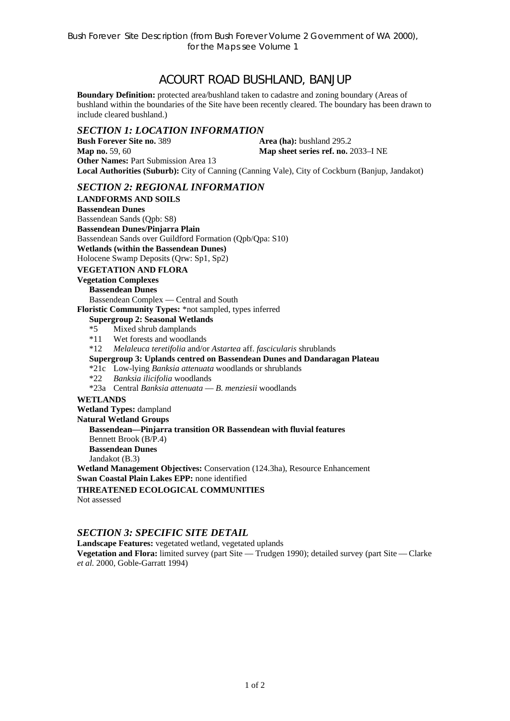# ACOURT ROAD BUSHLAND, BANJUP

**Boundary Definition:** protected area/bushland taken to cadastre and zoning boundary (Areas of bushland within the boundaries of the Site have been recently cleared. The boundary has been drawn to include cleared bushland.)

# *SECTION 1: LOCATION INFORMATION*

**Bush Forever Site no. 389 Area (ha):** bushland 295.2 **Map no.** 59, 60 **Map sheet series ref. no.** 2033–I NE **Other Names: Part Submission Area 13 Local Authorities (Suburb):** City of Canning (Canning Vale), City of Cockburn (Banjup, Jandakot)

## *SECTION 2: REGIONAL INFORMATION*

**LANDFORMS AND SOILS Bassendean Dunes**  Bassendean Sands (Qpb: S8) **Bassendean Dunes/Pinjarra Plain**  Bassendean Sands over Guildford Formation (Qpb/Qpa: S10) **Wetlands (within the Bassendean Dunes)**  Holocene Swamp Deposits (Qrw: Sp1, Sp2) **VEGETATION AND FLORA Vegetation Complexes Bassendean Dunes**  Bassendean Complex — Central and South **Floristic Community Types:** \*not sampled, types inferred **Supergroup 2: Seasonal Wetlands** \*5 Mixed shrub damplands \*11 Wet forests and woodlands \*12 *Melaleuca teretifolia* and/or *Astartea* aff. *fascicularis* shrublands **Supergroup 3: Uplands centred on Bassendean Dunes and Dandaragan Plateau**  \*21c Low-lying *Banksia attenuata* woodlands or shrublands \*22 *Banksia ilicifolia* woodlands \*23a Central *Banksia attenuata* — *B. menziesii* woodlands **WETLANDS Wetland Types:** dampland **Natural Wetland Groups Bassendean—Pinjarra transition OR Bassendean with fluvial features**  Bennett Brook (B/P.4) **Bassendean Dunes**  Jandakot (B.3) **Wetland Management Objectives:** Conservation (124.3ha), Resource Enhancement **Swan Coastal Plain Lakes EPP:** none identified **THREATENED ECOLOGICAL COMMUNITIES**  Not assessed

## *SECTION 3: SPECIFIC SITE DETAIL*

**Landscape Features:** vegetated wetland, vegetated uplands **Vegetation and Flora:** limited survey (part Site — Trudgen 1990); detailed survey (part Site — Clarke *et al.* 2000, Goble-Garratt 1994)